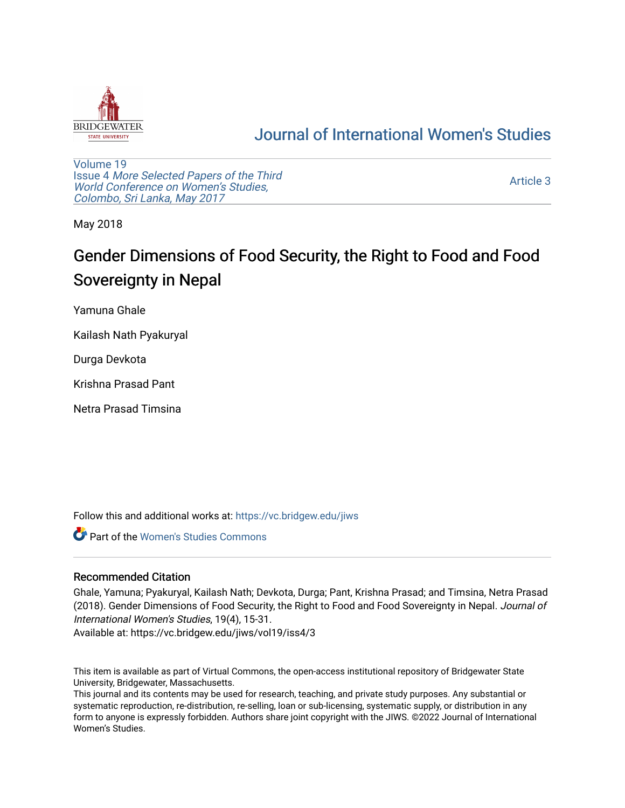

## [Journal of International Women's Studies](https://vc.bridgew.edu/jiws)

[Volume 19](https://vc.bridgew.edu/jiws/vol19) Issue 4 [More Selected Papers of the Third](https://vc.bridgew.edu/jiws/vol19/iss4)  [World Conference on Women's Studies,](https://vc.bridgew.edu/jiws/vol19/iss4)  [Colombo, Sri Lanka, May 2017](https://vc.bridgew.edu/jiws/vol19/iss4) 

[Article 3](https://vc.bridgew.edu/jiws/vol19/iss4/3) 

May 2018

# Gender Dimensions of Food Security, the Right to Food and Food Sovereignty in Nepal

Yamuna Ghale

Kailash Nath Pyakuryal

Durga Devkota

Krishna Prasad Pant

Netra Prasad Timsina

Follow this and additional works at: [https://vc.bridgew.edu/jiws](https://vc.bridgew.edu/jiws?utm_source=vc.bridgew.edu%2Fjiws%2Fvol19%2Fiss4%2F3&utm_medium=PDF&utm_campaign=PDFCoverPages)

**C** Part of the Women's Studies Commons

## Recommended Citation

Ghale, Yamuna; Pyakuryal, Kailash Nath; Devkota, Durga; Pant, Krishna Prasad; and Timsina, Netra Prasad (2018). Gender Dimensions of Food Security, the Right to Food and Food Sovereignty in Nepal. Journal of International Women's Studies, 19(4), 15-31.

Available at: https://vc.bridgew.edu/jiws/vol19/iss4/3

This item is available as part of Virtual Commons, the open-access institutional repository of Bridgewater State University, Bridgewater, Massachusetts.

This journal and its contents may be used for research, teaching, and private study purposes. Any substantial or systematic reproduction, re-distribution, re-selling, loan or sub-licensing, systematic supply, or distribution in any form to anyone is expressly forbidden. Authors share joint copyright with the JIWS. ©2022 Journal of International Women's Studies.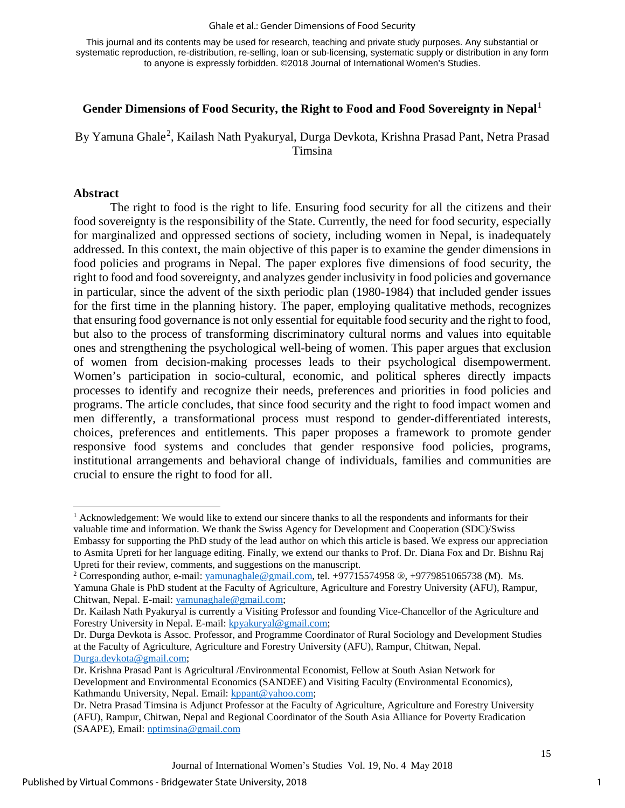#### Ghale et al.: Gender Dimensions of Food Security

This journal and its contents may be used for research, teaching and private study purposes. Any substantial or systematic reproduction, re-distribution, re-selling, loan or sub-licensing, systematic supply or distribution in any form to anyone is expressly forbidden. ©2018 Journal of International Women's Studies.

#### **Gender Dimensions of Food Security, the Right to Food and Food Sovereignty in Nepal**[1](#page-1-0)

By Yamuna Ghale<sup>[2](#page-1-1)</sup>, Kailash Nath Pyakuryal, Durga Devkota, Krishna Prasad Pant, Netra Prasad Timsina

#### **Abstract**

l

The right to food is the right to life. Ensuring food security for all the citizens and their food sovereignty is the responsibility of the State. Currently, the need for food security, especially for marginalized and oppressed sections of society, including women in Nepal, is inadequately addressed. In this context, the main objective of this paper is to examine the gender dimensions in food policies and programs in Nepal. The paper explores five dimensions of food security, the right to food and food sovereignty, and analyzes gender inclusivity in food policies and governance in particular, since the advent of the sixth periodic plan (1980-1984) that included gender issues for the first time in the planning history. The paper, employing qualitative methods, recognizes that ensuring food governance is not only essential for equitable food security and the right to food, but also to the process of transforming discriminatory cultural norms and values into equitable ones and strengthening the psychological well-being of women. This paper argues that exclusion of women from decision-making processes leads to their psychological disempowerment. Women's participation in socio-cultural, economic, and political spheres directly impacts processes to identify and recognize their needs, preferences and priorities in food policies and programs. The article concludes, that since food security and the right to food impact women and men differently, a transformational process must respond to gender-differentiated interests, choices, preferences and entitlements. This paper proposes a framework to promote gender responsive food systems and concludes that gender responsive food policies, programs, institutional arrangements and behavioral change of individuals, families and communities are crucial to ensure the right to food for all.

<span id="page-1-0"></span><sup>&</sup>lt;sup>1</sup> Acknowledgement: We would like to extend our sincere thanks to all the respondents and informants for their valuable time and information. We thank the Swiss Agency for Development and Cooperation (SDC)/Swiss Embassy for supporting the PhD study of the lead author on which this article is based. We express our appreciation to Asmita Upreti for her language editing. Finally, we extend our thanks to Prof. Dr. Diana Fox and Dr. Bishnu Raj Upreti for their review, comments, and suggestions on the manuscript.

<span id="page-1-1"></span><sup>&</sup>lt;sup>2</sup> Corresponding author, e-mail: [yamunaghale@gmail.com,](mailto:yamunaghale@gmail.com) tel. +97715574958  $\circledR$ , +9779851065738 (M). Ms. Yamuna Ghale is PhD student at the Faculty of Agriculture, Agriculture and Forestry University (AFU), Rampur, Chitwan, Nepal. E-mail: [yamunaghale@gmail.com;](mailto:yamunaghale@gmail.com) 

Dr. Kailash Nath Pyakuryal is currently a Visiting Professor and founding Vice-Chancellor of the Agriculture and Forestry University in Nepal. E-mail: [kpyakuryal@gmail.com;](mailto:kpyakuryal@gmail.com)

Dr. Durga Devkota is Assoc. Professor, and Programme Coordinator of Rural Sociology and Development Studies at the Faculty of Agriculture, Agriculture and Forestry University (AFU), Rampur, Chitwan, Nepal. [Durga.devkota@gmail.com;](mailto:Durga.devkota@gmail.com)

Dr. Krishna Prasad Pant is Agricultural /Environmental Economist, Fellow at South Asian Network for Development and Environmental Economics (SANDEE) and Visiting Faculty (Environmental Economics), Kathmandu University, Nepal. Email: [kppant@yahoo.com;](mailto:kppant@yahoo.com)

Dr. Netra Prasad Timsina is Adjunct Professor at the Faculty of Agriculture, Agriculture and Forestry University (AFU), Rampur, Chitwan, Nepal and Regional Coordinator of the South Asia Alliance for Poverty Eradication (SAAPE), Email: [nptimsina@gmail.com](mailto:nptimsina@gmail.com)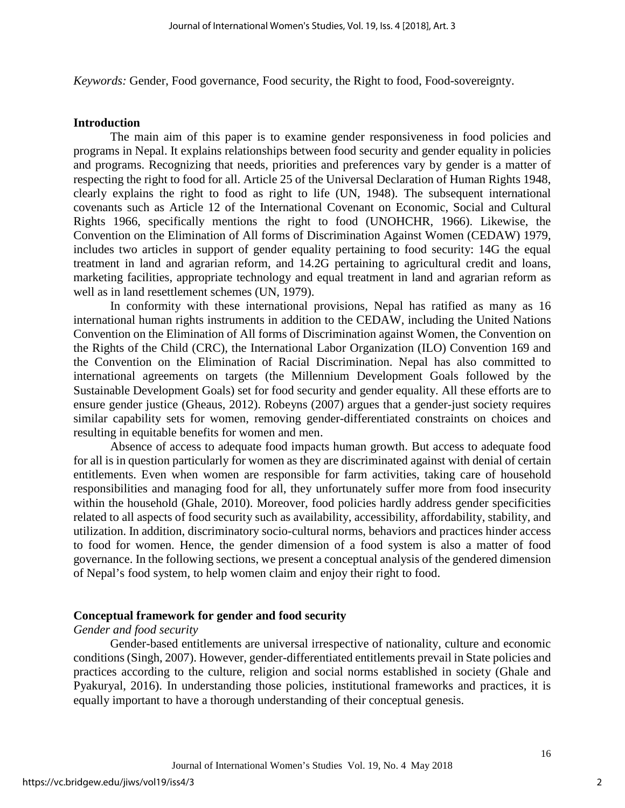*Keywords:* Gender, Food governance, Food security, the Right to food, Food-sovereignty.

#### **Introduction**

The main aim of this paper is to examine gender responsiveness in food policies and programs in Nepal. It explains relationships between food security and gender equality in policies and programs. Recognizing that needs, priorities and preferences vary by gender is a matter of respecting the right to food for all. Article 25 of the Universal Declaration of Human Rights 1948, clearly explains the right to food as right to life (UN, 1948). The subsequent international covenants such as Article 12 of the International Covenant on Economic, Social and Cultural Rights 1966, specifically mentions the right to food (UNOHCHR, 1966). Likewise, the Convention on the Elimination of All forms of Discrimination Against Women (CEDAW) 1979, includes two articles in support of gender equality pertaining to food security: 14G the equal treatment in land and agrarian reform, and 14.2G pertaining to agricultural credit and loans, marketing facilities, appropriate technology and equal treatment in land and agrarian reform as well as in land resettlement schemes (UN, 1979).

In conformity with these international provisions, Nepal has ratified as many as 16 international human rights instruments in addition to the CEDAW, including the United Nations Convention on the Elimination of All forms of Discrimination against Women, the Convention on the Rights of the Child (CRC), the International Labor Organization (ILO) Convention 169 and the Convention on the Elimination of Racial Discrimination. Nepal has also committed to international agreements on targets (the Millennium Development Goals followed by the Sustainable Development Goals) set for food security and gender equality. All these efforts are to ensure gender justice (Gheaus, 2012). Robeyns (2007) argues that a gender-just society requires similar capability sets for women, removing gender-differentiated constraints on choices and resulting in equitable benefits for women and men.

Absence of access to adequate food impacts human growth. But access to adequate food for all is in question particularly for women as they are discriminated against with denial of certain entitlements. Even when women are responsible for farm activities, taking care of household responsibilities and managing food for all, they unfortunately suffer more from food insecurity within the household (Ghale, 2010). Moreover, food policies hardly address gender specificities related to all aspects of food security such as availability, accessibility, affordability, stability, and utilization. In addition, discriminatory socio-cultural norms, behaviors and practices hinder access to food for women. Hence, the gender dimension of a food system is also a matter of food governance. In the following sections, we present a conceptual analysis of the gendered dimension of Nepal's food system, to help women claim and enjoy their right to food.

## **Conceptual framework for gender and food security**

### *Gender and food security*

Gender-based entitlements are universal irrespective of nationality, culture and economic conditions (Singh, 2007). However, gender-differentiated entitlements prevail in State policies and practices according to the culture, religion and social norms established in society (Ghale and Pyakuryal, 2016). In understanding those policies, institutional frameworks and practices, it is equally important to have a thorough understanding of their conceptual genesis.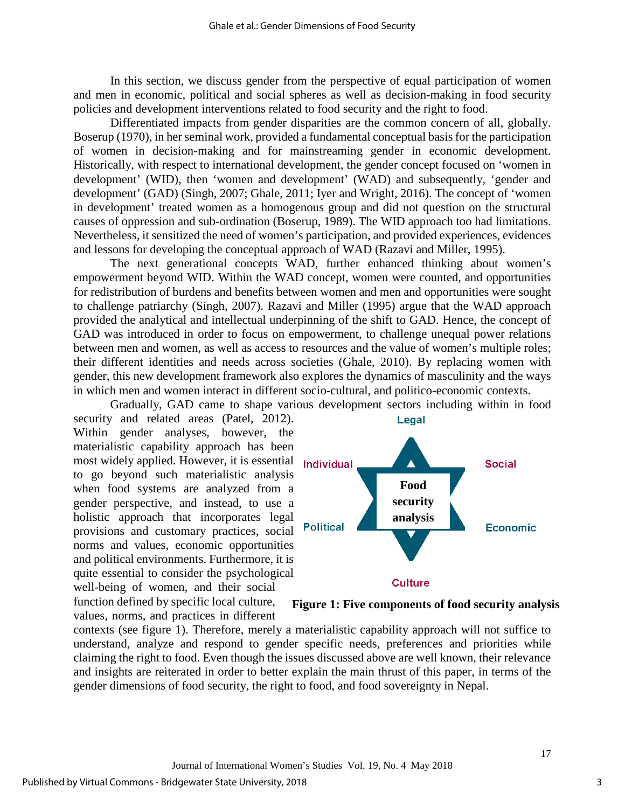In this section, we discuss gender from the perspective of equal participation of women and men in economic, political and social spheres as well as decision-making in food security policies and development interventions related to food security and the right to food.

Differentiated impacts from gender disparities are the common concern of all, globally. Boserup (1970), in her seminal work, provided a fundamental conceptual basis for the participation of women in decision-making and for mainstreaming gender in economic development. Historically, with respect to international development, the gender concept focused on 'women in development' (WID), then 'women and development' (WAD) and subsequently, 'gender and development' (GAD) (Singh, 2007; Ghale, 2011; Iyer and Wright, 2016). The concept of 'women in development' treated women as a homogenous group and did not question on the structural causes of oppression and sub-ordination (Boserup, 1989). The WID approach too had limitations. Nevertheless, it sensitized the need of women's participation, and provided experiences, evidences and lessons for developing the conceptual approach of WAD (Razavi and Miller, 1995).

The next generational concepts WAD, further enhanced thinking about women's empowerment beyond WID. Within the WAD concept, women were counted, and opportunities for redistribution of burdens and benefits between women and men and opportunities were sought to challenge patriarchy (Singh, 2007). Razavi and Miller (1995) argue that the WAD approach provided the analytical and intellectual underpinning of the shift to GAD. Hence, the concept of GAD was introduced in order to focus on empowerment, to challenge unequal power relations between men and women, as well as access to resources and the value of women's multiple roles; their different identities and needs across societies (Ghale, 2010). By replacing women with gender, this new development framework also explores the dynamics of masculinity and the ways in which men and women interact in different socio-cultural, and politico-economic contexts.

Gradually, GAD came to shape various development sectors including within in food security and related areas (Patel, 2012). Within gender analyses, however, the materialistic capability approach has been most widely applied. However, it is essential **Individual** to go beyond such materialistic analysis when food systems are analyzed from a gender perspective, and instead, to use a holistic approach that incorporates legal provisions and customary practices, social norms and values, economic opportunities and political environments. Furthermore, it is quite essential to consider the psychological well-being of women, and their social function defined by specific local culture,

values, norms, and practices in different



**Figure 1: Five components of food security analysis**

contexts (see figure 1). Therefore, merely a materialistic capability approach will not suffice to understand, analyze and respond to gender specific needs, preferences and priorities while claiming the right to food. Even though the issues discussed above are well known, their relevance and insights are reiterated in order to better explain the main thrust of this paper, in terms of the gender dimensions of food security, the right to food, and food sovereignty in Nepal.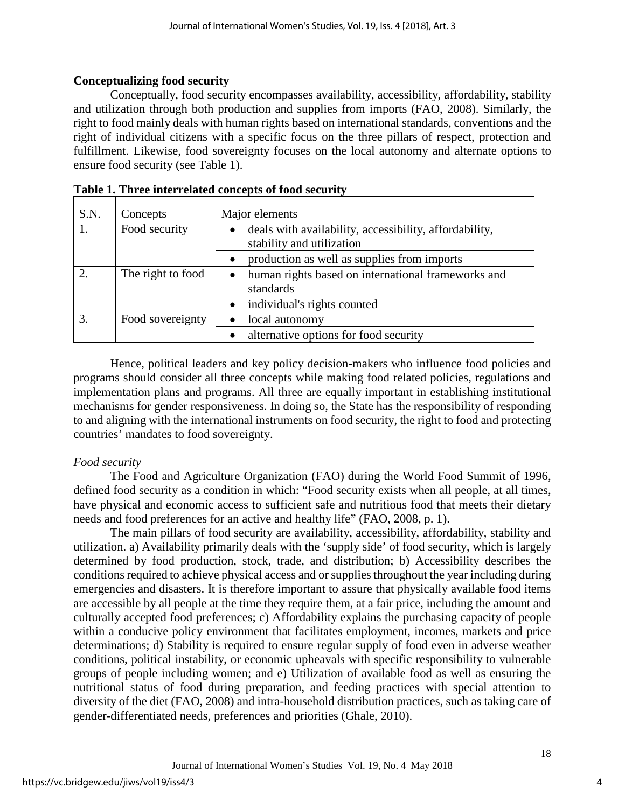## **Conceptualizing food security**

Conceptually, food security encompasses availability, accessibility, affordability, stability and utilization through both production and supplies from imports (FAO, 2008). Similarly, the right to food mainly deals with human rights based on international standards, conventions and the right of individual citizens with a specific focus on the three pillars of respect, protection and fulfillment. Likewise, food sovereignty focuses on the local autonomy and alternate options to ensure food security (see Table 1).

| S.N.          | Concepts          | Major elements                                                                      |  |
|---------------|-------------------|-------------------------------------------------------------------------------------|--|
|               | Food security     | deals with availability, accessibility, affordability,<br>stability and utilization |  |
|               |                   | production as well as supplies from imports                                         |  |
| $\mathcal{D}$ | The right to food | human rights based on international frameworks and<br>$\bullet$<br>standards        |  |
|               |                   | individual's rights counted<br>$\bullet$                                            |  |
|               | Food sovereignty  | local autonomy                                                                      |  |
|               |                   | alternative options for food security                                               |  |

| Table 1. Three interrelated concepts of food security |  |
|-------------------------------------------------------|--|
|-------------------------------------------------------|--|

Hence, political leaders and key policy decision-makers who influence food policies and programs should consider all three concepts while making food related policies, regulations and implementation plans and programs. All three are equally important in establishing institutional mechanisms for gender responsiveness. In doing so, the State has the responsibility of responding to and aligning with the international instruments on food security, the right to food and protecting countries' mandates to food sovereignty.

## *Food security*

The Food and Agriculture Organization (FAO) during the World Food Summit of 1996, defined food security as a condition in which: "Food security exists when all people, at all times, have physical and economic access to sufficient safe and nutritious food that meets their dietary needs and food preferences for an active and healthy life" (FAO, 2008, p. 1).

The main pillars of food security are availability, accessibility, affordability, stability and utilization. a) Availability primarily deals with the 'supply side' of food security, which is largely determined by food production, stock, trade, and distribution; b) Accessibility describes the conditions required to achieve physical access and or supplies throughout the year including during emergencies and disasters. It is therefore important to assure that physically available food items are accessible by all people at the time they require them, at a fair price, including the amount and culturally accepted food preferences; c) Affordability explains the purchasing capacity of people within a conducive policy environment that facilitates employment, incomes, markets and price determinations; d) Stability is required to ensure regular supply of food even in adverse weather conditions, political instability, or economic upheavals with specific responsibility to vulnerable groups of people including women; and e) Utilization of available food as well as ensuring the nutritional status of food during preparation, and feeding practices with special attention to diversity of the diet (FAO, 2008) and intra-household distribution practices, such as taking care of gender-differentiated needs, preferences and priorities (Ghale, 2010).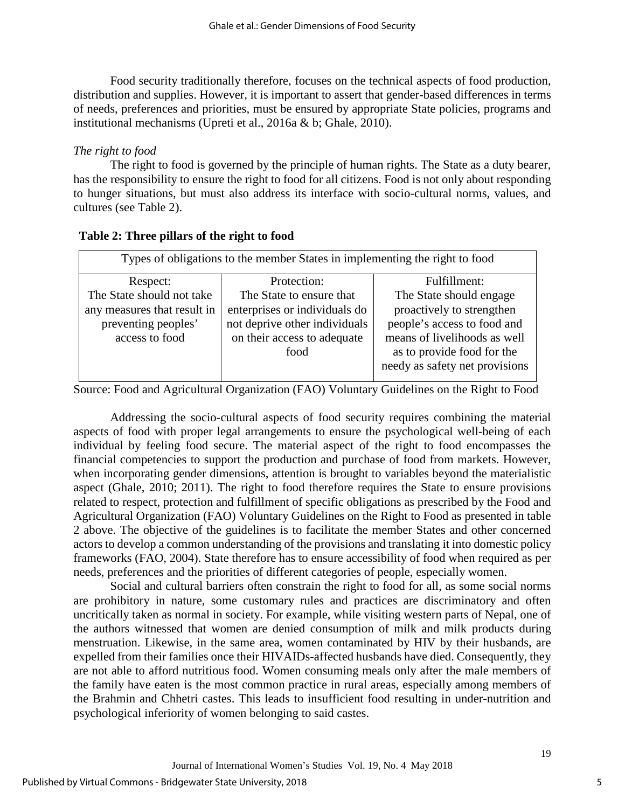Food security traditionally therefore, focuses on the technical aspects of food production, distribution and supplies. However, it is important to assert that gender-based differences in terms of needs, preferences and priorities, must be ensured by appropriate State policies, programs and institutional mechanisms (Upreti et al., 2016a & b; Ghale, 2010).

## *The right to food*

The right to food is governed by the principle of human rights. The State as a duty bearer, has the responsibility to ensure the right to food for all citizens. Food is not only about responding to hunger situations, but must also address its interface with socio-cultural norms, values, and cultures (see Table 2).

| Types of obligations to the member States in implementing the right to food |                               |                                |  |  |
|-----------------------------------------------------------------------------|-------------------------------|--------------------------------|--|--|
| Respect:                                                                    | Protection:                   | Fulfillment:                   |  |  |
| The State should not take                                                   | The State to ensure that      | The State should engage        |  |  |
| any measures that result in                                                 | enterprises or individuals do | proactively to strengthen      |  |  |
| preventing peoples'                                                         | not deprive other individuals | people's access to food and    |  |  |
| access to food                                                              | on their access to adequate   | means of livelihoods as well   |  |  |
|                                                                             | food                          | as to provide food for the     |  |  |
|                                                                             |                               | needy as safety net provisions |  |  |
|                                                                             |                               |                                |  |  |

## **Table 2: Three pillars of the right to food**

Source: Food and Agricultural Organization (FAO) Voluntary Guidelines on the Right to Food

Addressing the socio-cultural aspects of food security requires combining the material aspects of food with proper legal arrangements to ensure the psychological well-being of each individual by feeling food secure. The material aspect of the right to food encompasses the financial competencies to support the production and purchase of food from markets. However, when incorporating gender dimensions, attention is brought to variables beyond the materialistic aspect (Ghale, 2010; 2011). The right to food therefore requires the State to ensure provisions related to respect, protection and fulfillment of specific obligations as prescribed by the Food and Agricultural Organization (FAO) Voluntary Guidelines on the Right to Food as presented in table 2 above. The objective of the guidelines is to facilitate the member States and other concerned actors to develop a common understanding of the provisions and translating it into domestic policy frameworks (FAO, 2004). State therefore has to ensure accessibility of food when required as per needs, preferences and the priorities of different categories of people, especially women.

Social and cultural barriers often constrain the right to food for all, as some social norms are prohibitory in nature, some customary rules and practices are discriminatory and often uncritically taken as normal in society. For example, while visiting western parts of Nepal, one of the authors witnessed that women are denied consumption of milk and milk products during menstruation. Likewise, in the same area, women contaminated by HIV by their husbands, are expelled from their families once their HIVAIDs-affected husbands have died. Consequently, they are not able to afford nutritious food. Women consuming meals only after the male members of the family have eaten is the most common practice in rural areas, especially among members of the Brahmin and Chhetri castes. This leads to insufficient food resulting in under-nutrition and psychological inferiority of women belonging to said castes.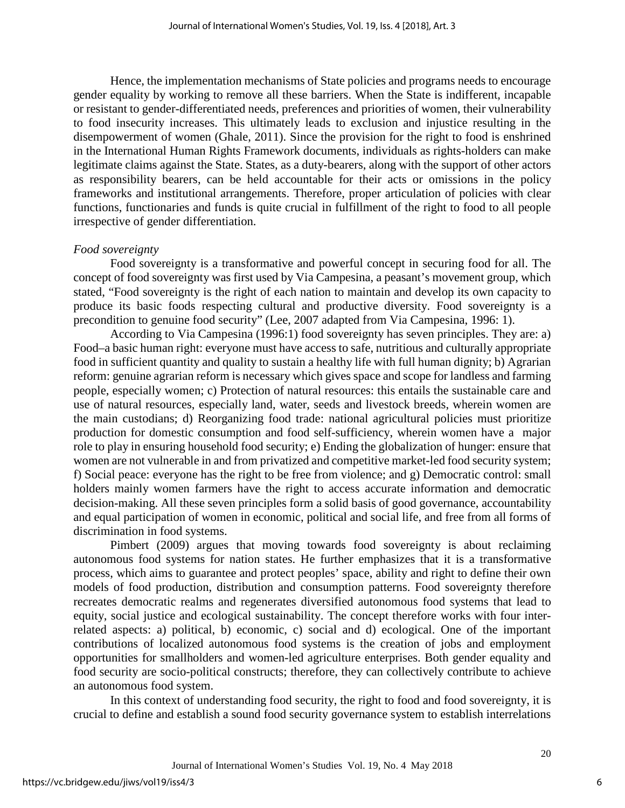Hence, the implementation mechanisms of State policies and programs needs to encourage gender equality by working to remove all these barriers. When the State is indifferent, incapable or resistant to gender-differentiated needs, preferences and priorities of women, their vulnerability to food insecurity increases. This ultimately leads to exclusion and injustice resulting in the disempowerment of women (Ghale, 2011). Since the provision for the right to food is enshrined in the International Human Rights Framework documents, individuals as rights-holders can make legitimate claims against the State. States, as a duty-bearers, along with the support of other actors as responsibility bearers, can be held accountable for their acts or omissions in the policy frameworks and institutional arrangements. Therefore, proper articulation of policies with clear functions, functionaries and funds is quite crucial in fulfillment of the right to food to all people irrespective of gender differentiation.

### *Food sovereignty*

Food sovereignty is a transformative and powerful concept in securing food for all. The concept of food sovereignty was first used by Via Campesina, a peasant's movement group, which stated, "Food sovereignty is the right of each nation to maintain and develop its own capacity to produce its basic foods respecting cultural and productive diversity. Food sovereignty is a precondition to genuine food security" (Lee, 2007 adapted from Via Campesina, 1996: 1).

According to Via Campesina (1996:1) food sovereignty has seven principles. They are: a) Food–a basic human right: everyone must have access to safe, nutritious and culturally appropriate food in sufficient quantity and quality to sustain a healthy life with full human dignity; b) Agrarian reform: genuine agrarian reform is necessary which gives space and scope for landless and farming people, especially women; c) Protection of natural resources: this entails the sustainable care and use of natural resources, especially land, water, seeds and livestock breeds, wherein women are the main custodians; d) Reorganizing food trade: national agricultural policies must prioritize production for domestic consumption and food self-sufficiency, wherein women have a major role to play in ensuring household food security; e) Ending the globalization of hunger: ensure that women are not vulnerable in and from privatized and competitive market-led food security system; f) Social peace: everyone has the right to be free from violence; and g) Democratic control: small holders mainly women farmers have the right to access accurate information and democratic decision-making. All these seven principles form a solid basis of good governance, accountability and equal participation of women in economic, political and social life, and free from all forms of discrimination in food systems.

Pimbert (2009) argues that moving towards food sovereignty is about reclaiming autonomous food systems for nation states. He further emphasizes that it is a transformative process, which aims to guarantee and protect peoples' space, ability and right to define their own models of food production, distribution and consumption patterns. Food sovereignty therefore recreates democratic realms and regenerates diversified autonomous food systems that lead to equity, social justice and ecological sustainability. The concept therefore works with four interrelated aspects: a) political, b) economic, c) social and d) ecological. One of the important contributions of localized autonomous food systems is the creation of jobs and employment opportunities for smallholders and women-led agriculture enterprises. Both gender equality and food security are socio-political constructs; therefore, they can collectively contribute to achieve an autonomous food system.

In this context of understanding food security, the right to food and food sovereignty, it is crucial to define and establish a sound food security governance system to establish interrelations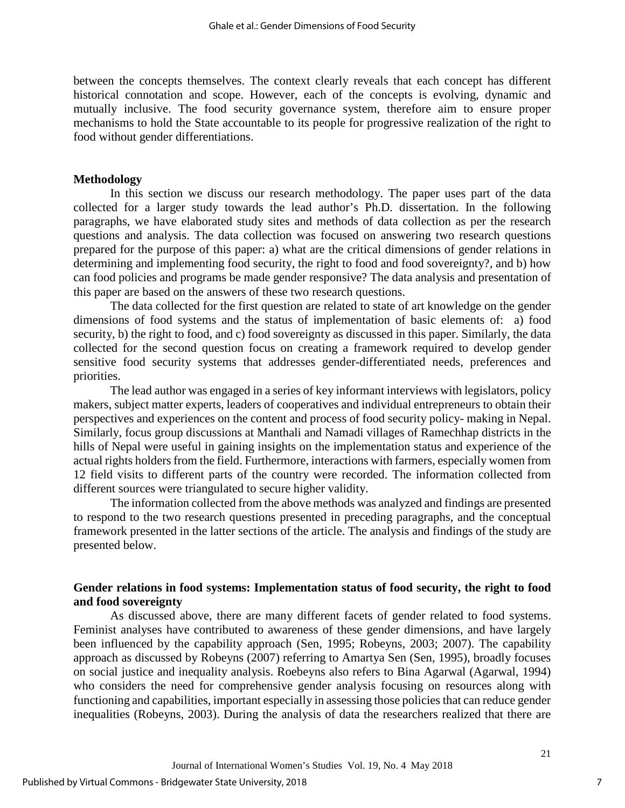between the concepts themselves. The context clearly reveals that each concept has different historical connotation and scope. However, each of the concepts is evolving, dynamic and mutually inclusive. The food security governance system, therefore aim to ensure proper mechanisms to hold the State accountable to its people for progressive realization of the right to food without gender differentiations.

#### **Methodology**

In this section we discuss our research methodology. The paper uses part of the data collected for a larger study towards the lead author's Ph.D. dissertation. In the following paragraphs, we have elaborated study sites and methods of data collection as per the research questions and analysis. The data collection was focused on answering two research questions prepared for the purpose of this paper: a) what are the critical dimensions of gender relations in determining and implementing food security, the right to food and food sovereignty?, and b) how can food policies and programs be made gender responsive? The data analysis and presentation of this paper are based on the answers of these two research questions.

The data collected for the first question are related to state of art knowledge on the gender dimensions of food systems and the status of implementation of basic elements of: a) food security, b) the right to food, and c) food sovereignty as discussed in this paper. Similarly, the data collected for the second question focus on creating a framework required to develop gender sensitive food security systems that addresses gender-differentiated needs, preferences and priorities.

The lead author was engaged in a series of key informant interviews with legislators, policy makers, subject matter experts, leaders of cooperatives and individual entrepreneurs to obtain their perspectives and experiences on the content and process of food security policy- making in Nepal. Similarly, focus group discussions at Manthali and Namadi villages of Ramechhap districts in the hills of Nepal were useful in gaining insights on the implementation status and experience of the actual rights holders from the field. Furthermore, interactions with farmers, especially women from 12 field visits to different parts of the country were recorded. The information collected from different sources were triangulated to secure higher validity.

The information collected from the above methods was analyzed and findings are presented to respond to the two research questions presented in preceding paragraphs, and the conceptual framework presented in the latter sections of the article. The analysis and findings of the study are presented below.

## **Gender relations in food systems: Implementation status of food security, the right to food and food sovereignty**

As discussed above, there are many different facets of gender related to food systems. Feminist analyses have contributed to awareness of these gender dimensions, and have largely been influenced by the capability approach (Sen, 1995; Robeyns, 2003; 2007). The capability approach as discussed by Robeyns (2007) referring to Amartya Sen (Sen, 1995), broadly focuses on social justice and inequality analysis. Roebeyns also refers to Bina Agarwal (Agarwal, 1994) who considers the need for comprehensive gender analysis focusing on resources along with functioning and capabilities, important especially in assessing those policies that can reduce gender inequalities (Robeyns, 2003). During the analysis of data the researchers realized that there are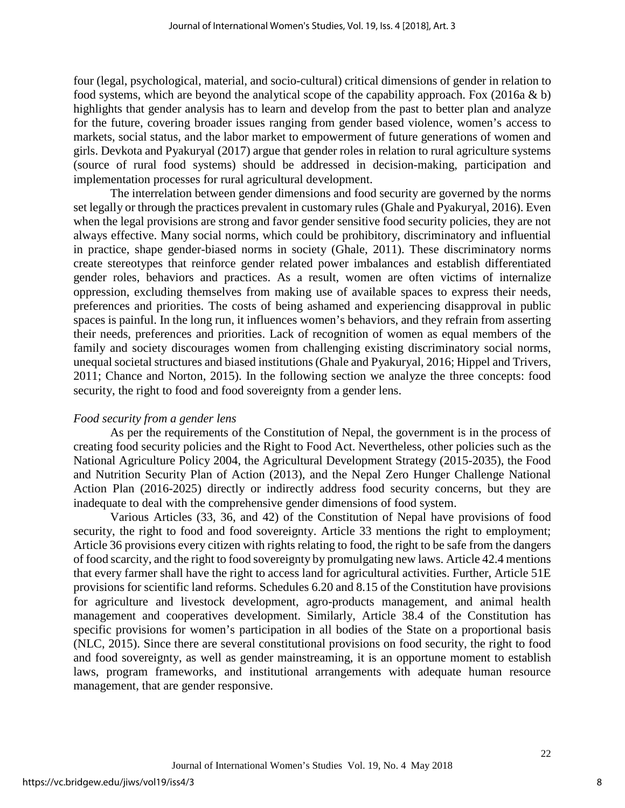four (legal, psychological, material, and socio-cultural) critical dimensions of gender in relation to food systems, which are beyond the analytical scope of the capability approach. Fox (2016a & b) highlights that gender analysis has to learn and develop from the past to better plan and analyze for the future, covering broader issues ranging from gender based violence, women's access to markets, social status, and the labor market to empowerment of future generations of women and girls. Devkota and Pyakuryal (2017) argue that gender roles in relation to rural agriculture systems (source of rural food systems) should be addressed in decision-making, participation and implementation processes for rural agricultural development.

The interrelation between gender dimensions and food security are governed by the norms set legally or through the practices prevalent in customary rules (Ghale and Pyakuryal, 2016). Even when the legal provisions are strong and favor gender sensitive food security policies, they are not always effective. Many social norms, which could be prohibitory, discriminatory and influential in practice, shape gender-biased norms in society (Ghale, 2011). These discriminatory norms create stereotypes that reinforce gender related power imbalances and establish differentiated gender roles, behaviors and practices. As a result, women are often victims of internalize oppression, excluding themselves from making use of available spaces to express their needs, preferences and priorities. The costs of being ashamed and experiencing disapproval in public spaces is painful. In the long run, it influences women's behaviors, and they refrain from asserting their needs, preferences and priorities. Lack of recognition of women as equal members of the family and society discourages women from challenging existing discriminatory social norms, unequal societal structures and biased institutions (Ghale and Pyakuryal, 2016; Hippel and Trivers, 2011; Chance and Norton, 2015). In the following section we analyze the three concepts: food security, the right to food and food sovereignty from a gender lens.

#### *Food security from a gender lens*

As per the requirements of the Constitution of Nepal, the government is in the process of creating food security policies and the Right to Food Act. Nevertheless, other policies such as the National Agriculture Policy 2004, the Agricultural Development Strategy (2015-2035), the Food and Nutrition Security Plan of Action (2013), and the Nepal Zero Hunger Challenge National Action Plan (2016-2025) directly or indirectly address food security concerns, but they are inadequate to deal with the comprehensive gender dimensions of food system.

Various Articles (33, 36, and 42) of the Constitution of Nepal have provisions of food security, the right to food and food sovereignty. Article 33 mentions the right to employment; Article 36 provisions every citizen with rights relating to food, the right to be safe from the dangers of food scarcity, and the right to food sovereignty by promulgating new laws. Article 42.4 mentions that every farmer shall have the right to access land for agricultural activities. Further, Article 51E provisions for scientific land reforms. Schedules 6.20 and 8.15 of the Constitution have provisions for agriculture and livestock development, agro-products management, and animal health management and cooperatives development. Similarly, Article 38.4 of the Constitution has specific provisions for women's participation in all bodies of the State on a proportional basis (NLC, 2015). Since there are several constitutional provisions on food security, the right to food and food sovereignty, as well as gender mainstreaming, it is an opportune moment to establish laws, program frameworks, and institutional arrangements with adequate human resource management, that are gender responsive.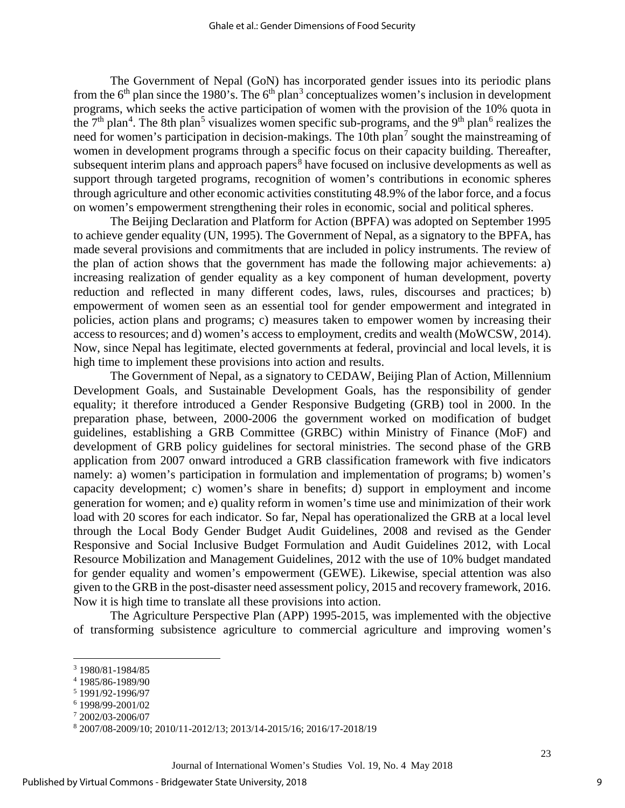The Government of Nepal (GoN) has incorporated gender issues into its periodic plans from the  $6<sup>th</sup>$  plan since the 1980's. The  $6<sup>th</sup>$  plan<sup>[3](#page-9-0)</sup> conceptualizes women's inclusion in development programs, which seeks the active participation of women with the provision of the 10% quota in the  $7<sup>th</sup>$  plan<sup>[4](#page-9-1)</sup>. The 8th plan<sup>[5](#page-9-2)</sup> visualizes women specific sub-programs, and the 9<sup>th</sup> plan<sup>[6](#page-9-3)</sup> realizes the need for women's participation in decision-makings. The 10th plan<sup>[7](#page-9-4)</sup> sought the mainstreaming of women in development programs through a specific focus on their capacity building. Thereafter, subsequent interim plans and approach papers<sup>[8](#page-9-5)</sup> have focused on inclusive developments as well as support through targeted programs, recognition of women's contributions in economic spheres through agriculture and other economic activities constituting 48.9% of the labor force, and a focus on women's empowerment strengthening their roles in economic, social and political spheres.

The Beijing Declaration and Platform for Action (BPFA) was adopted on September 1995 to achieve gender equality (UN, 1995). The Government of Nepal, as a signatory to the BPFA, has made several provisions and commitments that are included in policy instruments. The review of the plan of action shows that the government has made the following major achievements: a) increasing realization of gender equality as a key component of human development, poverty reduction and reflected in many different codes, laws, rules, discourses and practices; b) empowerment of women seen as an essential tool for gender empowerment and integrated in policies, action plans and programs; c) measures taken to empower women by increasing their access to resources; and d) women's access to employment, credits and wealth (MoWCSW, 2014). Now, since Nepal has legitimate, elected governments at federal, provincial and local levels, it is high time to implement these provisions into action and results.

The Government of Nepal, as a signatory to CEDAW, Beijing Plan of Action, Millennium Development Goals, and Sustainable Development Goals, has the responsibility of gender equality; it therefore introduced a Gender Responsive Budgeting (GRB) tool in 2000. In the preparation phase, between, 2000-2006 the government worked on modification of budget guidelines, establishing a GRB Committee (GRBC) within Ministry of Finance (MoF) and development of GRB policy guidelines for sectoral ministries. The second phase of the GRB application from 2007 onward introduced a GRB classification framework with five indicators namely: a) women's participation in formulation and implementation of programs; b) women's capacity development; c) women's share in benefits; d) support in employment and income generation for women; and e) quality reform in women's time use and minimization of their work load with 20 scores for each indicator. So far, Nepal has operationalized the GRB at a local level through the Local Body Gender Budget Audit Guidelines, 2008 and revised as the Gender Responsive and Social Inclusive Budget Formulation and Audit Guidelines 2012, with Local Resource Mobilization and Management Guidelines, 2012 with the use of 10% budget mandated for gender equality and women's empowerment (GEWE). Likewise, special attention was also given to the GRB in the post-disaster need assessment policy, 2015 and recovery framework, 2016. Now it is high time to translate all these provisions into action.

The Agriculture Perspective Plan (APP) 1995-2015, was implemented with the objective of transforming subsistence agriculture to commercial agriculture and improving women's

 $\overline{a}$ 

<span id="page-9-0"></span><sup>3</sup> 1980/81-1984/85

<span id="page-9-1"></span><sup>4</sup> 1985/86-1989/90

<sup>5</sup> 1991/92-1996/97

<span id="page-9-4"></span><span id="page-9-3"></span><span id="page-9-2"></span><sup>6</sup> 1998/99-2001/02

<sup>7</sup> 2002/03-2006/07

<span id="page-9-5"></span><sup>8</sup> 2007/08-2009/10; 2010/11-2012/13; 2013/14-2015/16; 2016/17-2018/19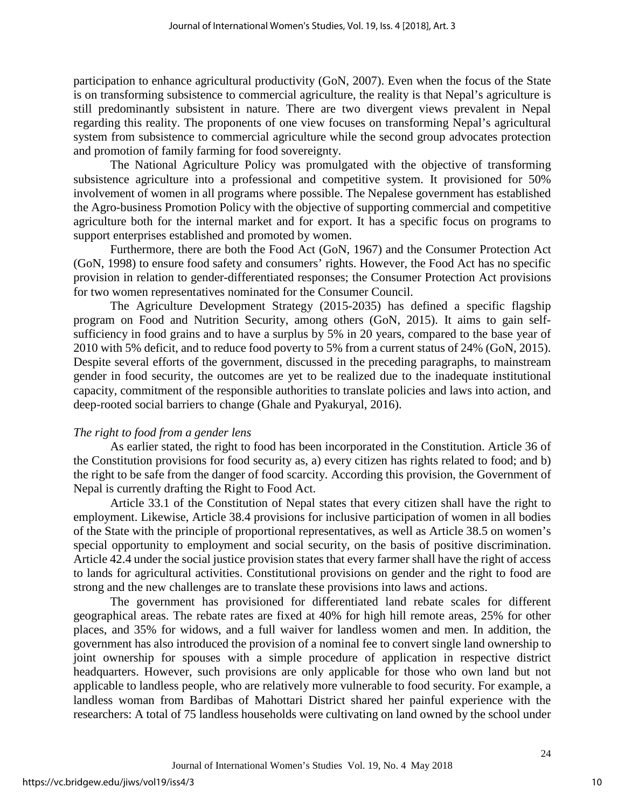participation to enhance agricultural productivity (GoN, 2007). Even when the focus of the State is on transforming subsistence to commercial agriculture, the reality is that Nepal's agriculture is still predominantly subsistent in nature. There are two divergent views prevalent in Nepal regarding this reality. The proponents of one view focuses on transforming Nepal's agricultural system from subsistence to commercial agriculture while the second group advocates protection and promotion of family farming for food sovereignty.

The National Agriculture Policy was promulgated with the objective of transforming subsistence agriculture into a professional and competitive system. It provisioned for 50% involvement of women in all programs where possible. The Nepalese government has established the Agro-business Promotion Policy with the objective of supporting commercial and competitive agriculture both for the internal market and for export. It has a specific focus on programs to support enterprises established and promoted by women.

Furthermore, there are both the Food Act (GoN, 1967) and the Consumer Protection Act (GoN, 1998) to ensure food safety and consumers' rights. However, the Food Act has no specific provision in relation to gender-differentiated responses; the Consumer Protection Act provisions for two women representatives nominated for the Consumer Council.

The Agriculture Development Strategy (2015-2035) has defined a specific flagship program on Food and Nutrition Security, among others (GoN, 2015). It aims to gain selfsufficiency in food grains and to have a surplus by 5% in 20 years, compared to the base year of 2010 with 5% deficit, and to reduce food poverty to 5% from a current status of 24% (GoN, 2015). Despite several efforts of the government, discussed in the preceding paragraphs, to mainstream gender in food security, the outcomes are yet to be realized due to the inadequate institutional capacity, commitment of the responsible authorities to translate policies and laws into action, and deep-rooted social barriers to change (Ghale and Pyakuryal, 2016).

## *The right to food from a gender lens*

As earlier stated, the right to food has been incorporated in the Constitution. Article 36 of the Constitution provisions for food security as, a) every citizen has rights related to food; and b) the right to be safe from the danger of food scarcity. According this provision, the Government of Nepal is currently drafting the Right to Food Act.

Article 33.1 of the Constitution of Nepal states that every citizen shall have the right to employment. Likewise, Article 38.4 provisions for inclusive participation of women in all bodies of the State with the principle of proportional representatives, as well as Article 38.5 on women's special opportunity to employment and social security, on the basis of positive discrimination. Article 42.4 under the social justice provision states that every farmer shall have the right of access to lands for agricultural activities. Constitutional provisions on gender and the right to food are strong and the new challenges are to translate these provisions into laws and actions.

The government has provisioned for differentiated land rebate scales for different geographical areas. The rebate rates are fixed at 40% for high hill remote areas, 25% for other places, and 35% for widows, and a full waiver for landless women and men. In addition, the government has also introduced the provision of a nominal fee to convert single land ownership to joint ownership for spouses with a simple procedure of application in respective district headquarters. However, such provisions are only applicable for those who own land but not applicable to landless people, who are relatively more vulnerable to food security. For example, a landless woman from Bardibas of Mahottari District shared her painful experience with the researchers: A total of 75 landless households were cultivating on land owned by the school under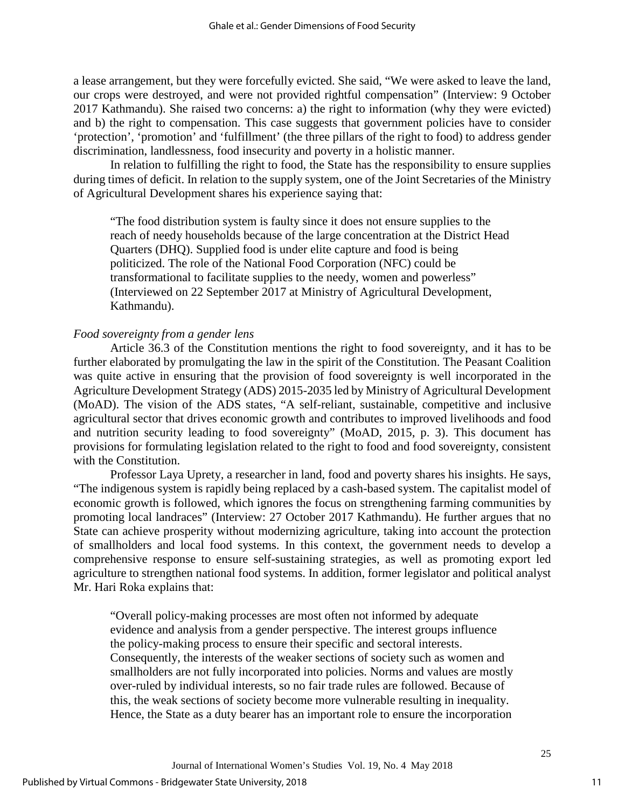a lease arrangement, but they were forcefully evicted. She said, "We were asked to leave the land, our crops were destroyed, and were not provided rightful compensation" (Interview: 9 October 2017 Kathmandu). She raised two concerns: a) the right to information (why they were evicted) and b) the right to compensation. This case suggests that government policies have to consider 'protection', 'promotion' and 'fulfillment' (the three pillars of the right to food) to address gender discrimination, landlessness, food insecurity and poverty in a holistic manner.

In relation to fulfilling the right to food, the State has the responsibility to ensure supplies during times of deficit. In relation to the supply system, one of the Joint Secretaries of the Ministry of Agricultural Development shares his experience saying that:

"The food distribution system is faulty since it does not ensure supplies to the reach of needy households because of the large concentration at the District Head Quarters (DHQ). Supplied food is under elite capture and food is being politicized. The role of the National Food Corporation (NFC) could be transformational to facilitate supplies to the needy, women and powerless" (Interviewed on 22 September 2017 at Ministry of Agricultural Development, Kathmandu).

### *Food sovereignty from a gender lens*

Article 36.3 of the Constitution mentions the right to food sovereignty, and it has to be further elaborated by promulgating the law in the spirit of the Constitution. The Peasant Coalition was quite active in ensuring that the provision of food sovereignty is well incorporated in the Agriculture Development Strategy (ADS) 2015-2035 led by Ministry of Agricultural Development (MoAD). The vision of the ADS states, "A self-reliant, sustainable, competitive and inclusive agricultural sector that drives economic growth and contributes to improved livelihoods and food and nutrition security leading to food sovereignty" (MoAD, 2015, p. 3). This document has provisions for formulating legislation related to the right to food and food sovereignty, consistent with the Constitution.

Professor Laya Uprety, a researcher in land, food and poverty shares his insights. He says, "The indigenous system is rapidly being replaced by a cash-based system. The capitalist model of economic growth is followed, which ignores the focus on strengthening farming communities by promoting local landraces" (Interview: 27 October 2017 Kathmandu). He further argues that no State can achieve prosperity without modernizing agriculture, taking into account the protection of smallholders and local food systems. In this context, the government needs to develop a comprehensive response to ensure self-sustaining strategies, as well as promoting export led agriculture to strengthen national food systems. In addition, former legislator and political analyst Mr. Hari Roka explains that:

"Overall policy-making processes are most often not informed by adequate evidence and analysis from a gender perspective. The interest groups influence the policy-making process to ensure their specific and sectoral interests. Consequently, the interests of the weaker sections of society such as women and smallholders are not fully incorporated into policies. Norms and values are mostly over-ruled by individual interests, so no fair trade rules are followed. Because of this, the weak sections of society become more vulnerable resulting in inequality. Hence, the State as a duty bearer has an important role to ensure the incorporation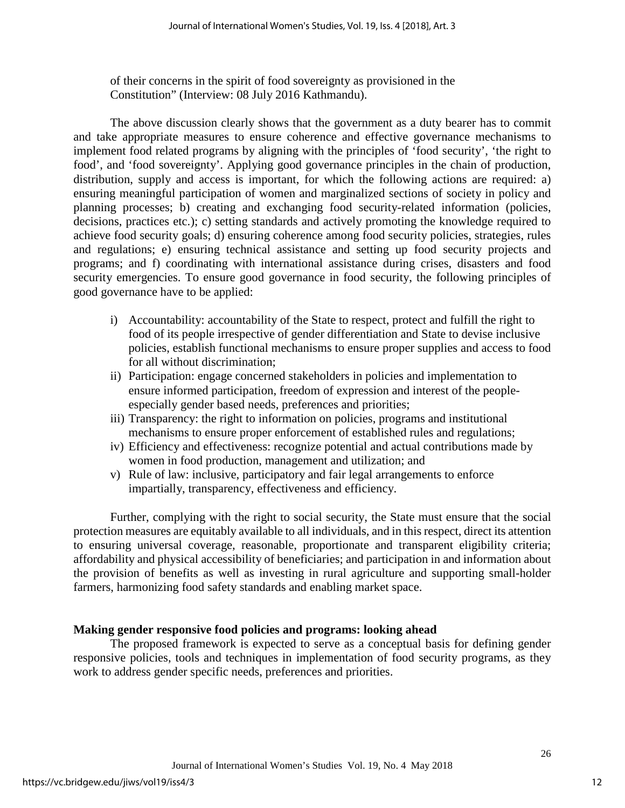of their concerns in the spirit of food sovereignty as provisioned in the Constitution" (Interview: 08 July 2016 Kathmandu).

The above discussion clearly shows that the government as a duty bearer has to commit and take appropriate measures to ensure coherence and effective governance mechanisms to implement food related programs by aligning with the principles of 'food security', 'the right to food', and 'food sovereignty'. Applying good governance principles in the chain of production, distribution, supply and access is important, for which the following actions are required: a) ensuring meaningful participation of women and marginalized sections of society in policy and planning processes; b) creating and exchanging food security-related information (policies, decisions, practices etc.); c) setting standards and actively promoting the knowledge required to achieve food security goals; d) ensuring coherence among food security policies, strategies, rules and regulations; e) ensuring technical assistance and setting up food security projects and programs; and f) coordinating with international assistance during crises, disasters and food security emergencies. To ensure good governance in food security, the following principles of good governance have to be applied:

- i) Accountability: accountability of the State to respect, protect and fulfill the right to food of its people irrespective of gender differentiation and State to devise inclusive policies, establish functional mechanisms to ensure proper supplies and access to food for all without discrimination;
- ii) Participation: engage concerned stakeholders in policies and implementation to ensure informed participation, freedom of expression and interest of the peopleespecially gender based needs, preferences and priorities;
- iii) Transparency: the right to information on policies, programs and institutional mechanisms to ensure proper enforcement of established rules and regulations;
- iv) Efficiency and effectiveness: recognize potential and actual contributions made by women in food production, management and utilization; and
- v) Rule of law: inclusive, participatory and fair legal arrangements to enforce impartially, transparency, effectiveness and efficiency.

Further, complying with the right to social security, the State must ensure that the social protection measures are equitably available to all individuals, and in this respect, direct its attention to ensuring universal coverage, reasonable, proportionate and transparent eligibility criteria; affordability and physical accessibility of beneficiaries; and participation in and information about the provision of benefits as well as investing in rural agriculture and supporting small-holder farmers, harmonizing food safety standards and enabling market space.

## **Making gender responsive food policies and programs: looking ahead**

The proposed framework is expected to serve as a conceptual basis for defining gender responsive policies, tools and techniques in implementation of food security programs, as they work to address gender specific needs, preferences and priorities.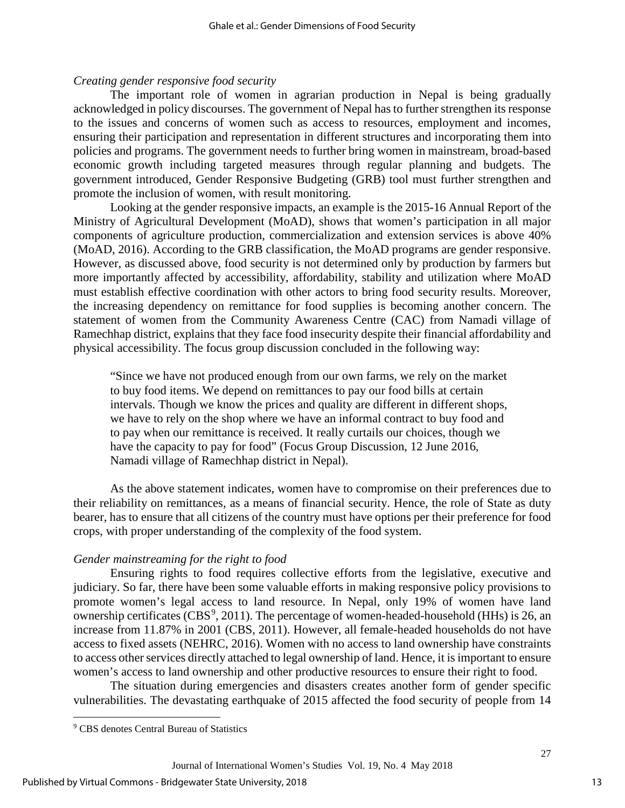#### *Creating gender responsive food security*

The important role of women in agrarian production in Nepal is being gradually acknowledged in policy discourses. The government of Nepal has to further strengthen its response to the issues and concerns of women such as access to resources, employment and incomes, ensuring their participation and representation in different structures and incorporating them into policies and programs. The government needs to further bring women in mainstream, broad-based economic growth including targeted measures through regular planning and budgets. The government introduced, Gender Responsive Budgeting (GRB) tool must further strengthen and promote the inclusion of women, with result monitoring.

Looking at the gender responsive impacts, an example is the 2015-16 Annual Report of the Ministry of Agricultural Development (MoAD), shows that women's participation in all major components of agriculture production, commercialization and extension services is above 40% (MoAD, 2016). According to the GRB classification, the MoAD programs are gender responsive. However, as discussed above, food security is not determined only by production by farmers but more importantly affected by accessibility, affordability, stability and utilization where MoAD must establish effective coordination with other actors to bring food security results. Moreover, the increasing dependency on remittance for food supplies is becoming another concern. The statement of women from the Community Awareness Centre (CAC) from Namadi village of Ramechhap district, explains that they face food insecurity despite their financial affordability and physical accessibility. The focus group discussion concluded in the following way:

"Since we have not produced enough from our own farms, we rely on the market to buy food items. We depend on remittances to pay our food bills at certain intervals. Though we know the prices and quality are different in different shops, we have to rely on the shop where we have an informal contract to buy food and to pay when our remittance is received. It really curtails our choices, though we have the capacity to pay for food" (Focus Group Discussion, 12 June 2016, Namadi village of Ramechhap district in Nepal).

As the above statement indicates, women have to compromise on their preferences due to their reliability on remittances, as a means of financial security. Hence, the role of State as duty bearer, has to ensure that all citizens of the country must have options per their preference for food crops, with proper understanding of the complexity of the food system.

#### *Gender mainstreaming for the right to food*

Ensuring rights to food requires collective efforts from the legislative, executive and judiciary. So far, there have been some valuable efforts in making responsive policy provisions to promote women's legal access to land resource. In Nepal, only 19% of women have land ownership certificates ( $CBS<sup>9</sup>$  $CBS<sup>9</sup>$  $CBS<sup>9</sup>$ , 2011). The percentage of women-headed-household (HHs) is 26, an increase from 11.87% in 2001 (CBS, 2011). However, all female-headed households do not have access to fixed assets (NEHRC, 2016). Women with no access to land ownership have constraints to access other services directly attached to legal ownership of land. Hence, it is important to ensure women's access to land ownership and other productive resources to ensure their right to food.

The situation during emergencies and disasters creates another form of gender specific vulnerabilities. The devastating earthquake of 2015 affected the food security of people from 14

l

<span id="page-13-0"></span><sup>9</sup> CBS denotes Central Bureau of Statistics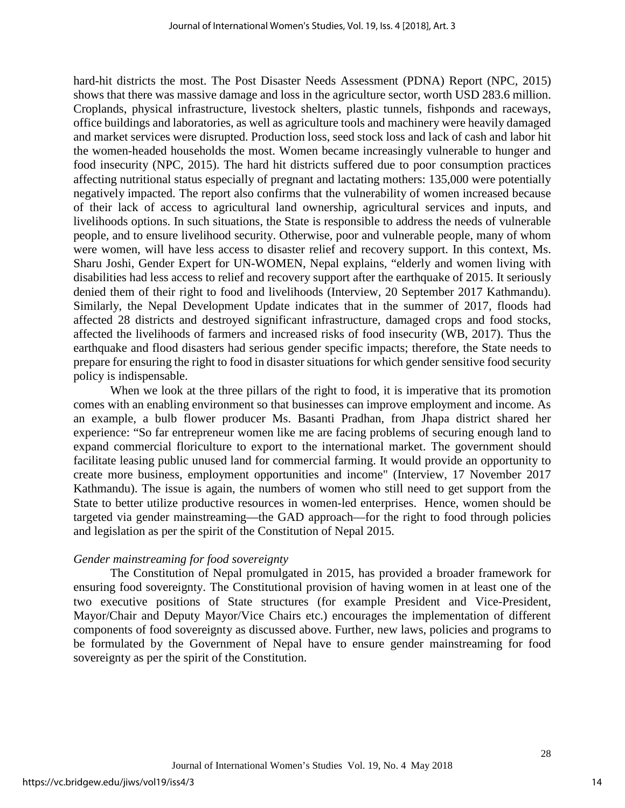hard-hit districts the most. The Post Disaster Needs Assessment (PDNA) Report (NPC, 2015) shows that there was massive damage and loss in the agriculture sector, worth USD 283.6 million. Croplands, physical infrastructure, livestock shelters, plastic tunnels, fishponds and raceways, office buildings and laboratories, as well as agriculture tools and machinery were heavily damaged and market services were disrupted. Production loss, seed stock loss and lack of cash and labor hit the women-headed households the most. Women became increasingly vulnerable to hunger and food insecurity (NPC, 2015). The hard hit districts suffered due to poor consumption practices affecting nutritional status especially of pregnant and lactating mothers: 135,000 were potentially negatively impacted. The report also confirms that the vulnerability of women increased because of their lack of access to agricultural land ownership, agricultural services and inputs, and livelihoods options. In such situations, the State is responsible to address the needs of vulnerable people, and to ensure livelihood security. Otherwise, poor and vulnerable people, many of whom were women, will have less access to disaster relief and recovery support. In this context, Ms. Sharu Joshi, Gender Expert for UN-WOMEN, Nepal explains, "elderly and women living with disabilities had less access to relief and recovery support after the earthquake of 2015. It seriously denied them of their right to food and livelihoods (Interview, 20 September 2017 Kathmandu). Similarly, the Nepal Development Update indicates that in the summer of 2017, floods had affected 28 districts and destroyed significant infrastructure, damaged crops and food stocks, affected the livelihoods of farmers and increased risks of food insecurity (WB, 2017). Thus the earthquake and flood disasters had serious gender specific impacts; therefore, the State needs to prepare for ensuring the right to food in disaster situations for which gender sensitive food security policy is indispensable.

When we look at the three pillars of the right to food, it is imperative that its promotion comes with an enabling environment so that businesses can improve employment and income. As an example, a bulb flower producer Ms. Basanti Pradhan, from Jhapa district shared her experience: "So far entrepreneur women like me are facing problems of securing enough land to expand commercial floriculture to export to the international market. The government should facilitate leasing public unused land for commercial farming. It would provide an opportunity to create more business, employment opportunities and income" (Interview, 17 November 2017 Kathmandu). The issue is again, the numbers of women who still need to get support from the State to better utilize productive resources in women-led enterprises. Hence, women should be targeted via gender mainstreaming—the GAD approach—for the right to food through policies and legislation as per the spirit of the Constitution of Nepal 2015.

#### *Gender mainstreaming for food sovereignty*

The Constitution of Nepal promulgated in 2015, has provided a broader framework for ensuring food sovereignty. The Constitutional provision of having women in at least one of the two executive positions of State structures (for example President and Vice-President, Mayor/Chair and Deputy Mayor/Vice Chairs etc.) encourages the implementation of different components of food sovereignty as discussed above. Further, new laws, policies and programs to be formulated by the Government of Nepal have to ensure gender mainstreaming for food sovereignty as per the spirit of the Constitution.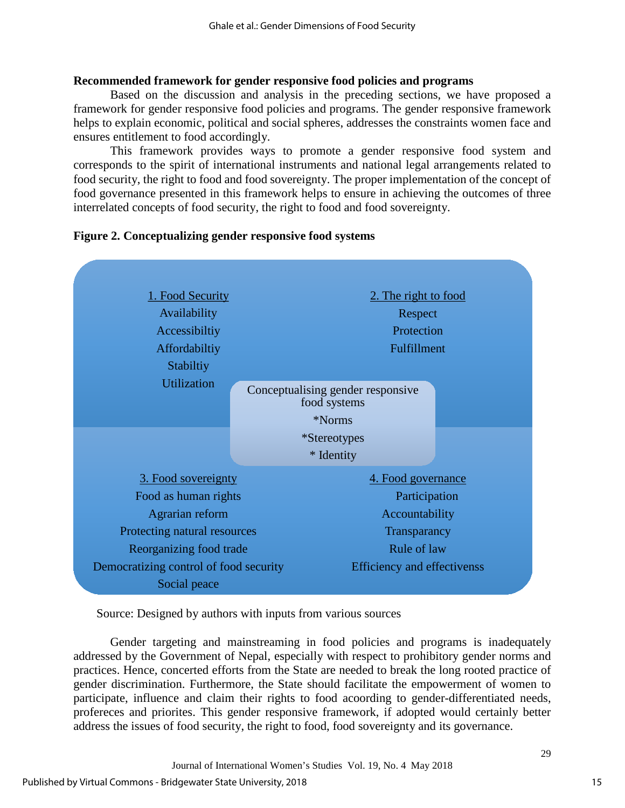### **Recommended framework for gender responsive food policies and programs**

Based on the discussion and analysis in the preceding sections, we have proposed a framework for gender responsive food policies and programs. The gender responsive framework helps to explain economic, political and social spheres, addresses the constraints women face and ensures entitlement to food accordingly.

This framework provides ways to promote a gender responsive food system and corresponds to the spirit of international instruments and national legal arrangements related to food security, the right to food and food sovereignty. The proper implementation of the concept of food governance presented in this framework helps to ensure in achieving the outcomes of three interrelated concepts of food security, the right to food and food sovereignty.



### **Figure 2. Conceptualizing gender responsive food systems**

Source: Designed by authors with inputs from various sources

Gender targeting and mainstreaming in food policies and programs is inadequately addressed by the Government of Nepal, especially with respect to prohibitory gender norms and practices. Hence, concerted efforts from the State are needed to break the long rooted practice of gender discrimination. Furthermore, the State should facilitate the empowerment of women to participate, influence and claim their rights to food acoording to gender-differentiated needs, profereces and priorites. This gender responsive framework, if adopted would certainly better address the issues of food security, the right to food, food sovereignty and its governance.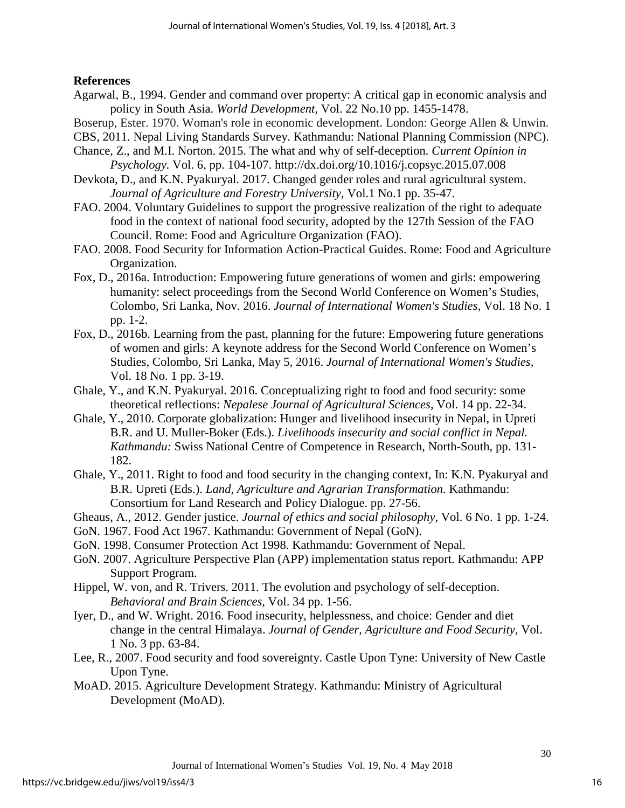## **References**

- Agarwal, B., 1994. Gender and command over property: A critical gap in economic analysis and policy in South Asia. *World Development,* Vol. 22 No.10 pp. 1455-1478.
- Boserup, Ester. 1970. Woman's role in economic development. London: George Allen & Unwin.
- CBS, 2011. Nepal Living Standards Survey. Kathmandu: National Planning Commission (NPC).
- Chance, Z., and M.I. Norton. 2015. The what and why of self-deception. *Current Opinion in Psychology.* Vol. 6, pp. 104-107. http://dx.doi.org/10.1016/j.copsyc.2015.07.008
- Devkota, D., and K.N. Pyakuryal. 2017. Changed gender roles and rural agricultural system. *Journal of Agriculture and Forestry University,* Vol.1 No.1 pp. 35-47.
- FAO. 2004. Voluntary Guidelines to support the progressive realization of the right to adequate food in the context of national food security, adopted by the 127th Session of the FAO Council. Rome: Food and Agriculture Organization (FAO).
- FAO. 2008. Food Security for Information Action-Practical Guides. Rome: Food and Agriculture Organization.
- Fox, D., 2016a. Introduction: Empowering future generations of women and girls: empowering humanity: select proceedings from the Second World Conference on Women's Studies, Colombo, Sri Lanka, Nov. 2016. *Journal of International Women's Studies,* Vol. 18 No. 1 pp. 1-2.
- Fox, D., 2016b. Learning from the past, planning for the future: Empowering future generations of women and girls: A keynote address for the Second World Conference on Women's Studies, Colombo, Sri Lanka, May 5, 2016. *Journal of International Women's Studies,* Vol. 18 No. 1 pp. 3-19.
- Ghale, Y., and K.N. Pyakuryal. 2016. Conceptualizing right to food and food security: some theoretical reflections: *Nepalese Journal of Agricultural Sciences,* Vol. 14 pp. 22-34.
- Ghale, Y., 2010. Corporate globalization: Hunger and livelihood insecurity in Nepal, in Upreti B.R. and U. Muller-Boker (Eds.). *Livelihoods insecurity and social conflict in Nepal. Kathmandu:* Swiss National Centre of Competence in Research, North-South, pp. 131- 182.
- Ghale, Y., 2011. Right to food and food security in the changing context, In: K.N. Pyakuryal and B.R. Upreti (Eds.). *Land, Agriculture and Agrarian Transformation.* Kathmandu: Consortium for Land Research and Policy Dialogue. pp. 27-56.
- Gheaus, A., 2012. Gender justice. *Journal of ethics and social philosophy,* Vol. 6 No. 1 pp. 1-24.
- GoN. 1967. Food Act 1967. Kathmandu: Government of Nepal (GoN).
- GoN. 1998. Consumer Protection Act 1998. Kathmandu: Government of Nepal.
- GoN. 2007. Agriculture Perspective Plan (APP) implementation status report. Kathmandu: APP Support Program.
- Hippel, W. von, and R. Trivers. 2011. The evolution and psychology of self-deception. *Behavioral and Brain Sciences,* Vol. 34 pp. 1-56.
- Iyer, D., and W. Wright. 2016. Food insecurity, helplessness, and choice: Gender and diet change in the central Himalaya. *Journal of Gender, Agriculture and Food Security,* Vol. 1 No. 3 pp. 63-84.
- Lee, R., 2007. Food security and food sovereignty. Castle Upon Tyne: University of New Castle Upon Tyne.
- MoAD. 2015. Agriculture Development Strategy. Kathmandu: Ministry of Agricultural Development (MoAD).